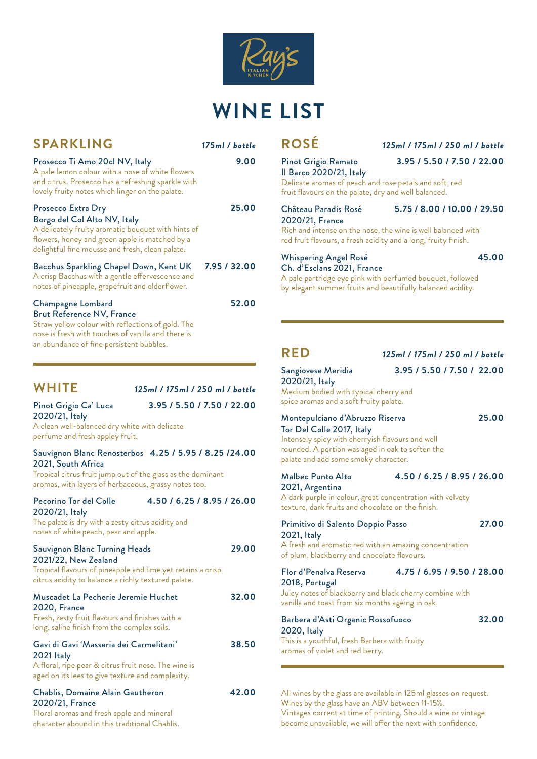

## **WINE LIST**

| <b>SPARKLING</b>                                                                                                                                                                                              | 175ml / bottle |
|---------------------------------------------------------------------------------------------------------------------------------------------------------------------------------------------------------------|----------------|
| Prosecco Ti Amo 20cl NV, Italy<br>A pale lemon colour with a nose of white flowers<br>and citrus. Prosecco has a refreshing sparkle with<br>lovely fruity notes which linger on the palate.                   | 9.00           |
| Prosecco Extra Dry<br>Borgo del Col Alto NV, Italy<br>A delicately fruity aromatic bouquet with hints of<br>flowers, honey and green apple is matched by a<br>delightful fine mousse and fresh, clean palate. | 25.00          |
| <b>Bacchus Sparkling Chapel Down, Kent UK</b><br>A crisp Bacchus with a gentle effervescence and<br>notes of pineapple, grapefruit and elderflower.                                                           | 7.95 / 32.00   |
| Champagne Lombard<br><b>Brut Reference NV, France</b><br>Straw yellow colour with reflections of gold. The<br>nose is fresh with touches of vanilla and there is<br>an abundance of fine persistent bubbles.  | 52.00          |

| <b>WHITE</b>                            | 125ml / 175ml / 250 ml / bottle |
|-----------------------------------------|---------------------------------|
| Pinot Grigio Ca' Luca<br>2020/21, Italy | 3.95 / 5.50 / 7.50 / 22.00      |

A clean well-balanced dry white with delicate perfume and fresh appley fruit.

#### Sauvignon Blanc Renosterbos **4.25 / 5.95 / 8.25 /24.00** 2021, South Africa

Tropical citrus fruit jump out of the glass as the dominant aromas, with layers of herbaceous, grassy notes too.

#### Pecorino Tor del Colle **4.50 / 6.25 / 8.95 / 26.00** 2020/21, Italy

#### The palate is dry with a zesty citrus acidity and notes of white peach, pear and apple.

| <b>Sauvignon Blanc Turning Heads</b><br>2021/22, New Zealand<br>Tropical flavours of pineapple and lime yet retains a crisp<br>citrus acidity to balance a richly textured palate. | 29.00 |
|------------------------------------------------------------------------------------------------------------------------------------------------------------------------------------|-------|
| Muscadet La Pecherie Jeremie Huchet<br><b>2020, France</b><br>Fresh, zesty fruit flavours and finishes with a<br>long, saline finish from the complex soils.                       | 32.00 |
| Gavi di Gavi 'Masseria dei Carmelitani'<br>2021 Italy<br>A floral, ripe pear & citrus fruit nose. The wine is<br>aged on its lees to give texture and complexity.                  | 38.50 |
| Chablis, Domaine Alain Gautheron<br>2020/21, France<br>Floral aromas and fresh apple and mineral<br>character abound in this traditional Chablis.                                  | 42.00 |

#### **ROSÉ** *125ml / 175ml / 250 ml / bottle* Pinot Grigio Ramato **3.95 / 5.50 / 7.50 / 22.00**

Il Barco 2020/21, Italy Delicate aromas of peach and rose petals and soft, red fruit flavours on the palate, dry and well balanced.

#### Château Paradis Rosé **5.75 / 8.00 / 10.00 / 29.50**

2020/21, France Rich and intense on the nose, the wine is well balanced with red fruit flavours, a fresh acidity and a long, fruity finish.

#### Whispering Angel Rosé **45.00** Ch. d'Esclans 2021, France

A pale partridge eye pink with perfumed bouquet, followed by elegant summer fruits and beautifully balanced acidity.

#### **RED** *125ml / 175ml / 250 ml / bottle*

## Sangiovese Meridia **3.95 / 5.50 / 7.50 / 22.00**

2020/21, Italy Medium bodied with typical cherry and spice aromas and a soft fruity palate.

### Montepulciano d'Abruzzo Riserva **25.00**

Tor Del Colle 2017, Italy Intensely spicy with cherryish flavours and well rounded. A portion was aged in oak to soften the palate and add some smoky character.

Malbec Punto Alto **4.50 / 6.25 / 8.95 / 26.00**

2021, Argentina A dark purple in colour, great concentration with velvety texture, dark fruits and chocolate on the finish.

| Primitivo di Salento Doppio Passo<br>2021, Italy<br>A fresh and aromatic red with an amazing concentration<br>of plum, blackberry and chocolate flavours.                             | 27.00 |
|---------------------------------------------------------------------------------------------------------------------------------------------------------------------------------------|-------|
| 4.75 / 6.95 / 9.50 / 28.00<br>Flor d'Penalva Reserva<br>2018, Portugal<br>Juicy notes of blackberry and black cherry combine with<br>vanilla and toast from six months ageing in oak. |       |
| Barbera d'Asti Organic Rossofuoco<br>2020, Italy<br>This is a youthful, fresh Barbera with fruity<br>aromas of violet and red berry.                                                  | 32.00 |

All wines by the glass are available in 125ml glasses on request. Wines by the glass have an ABV between 11-15%. Vintages correct at time of printing. Should a wine or vintage become unavailable, we will offer the next with confidence.